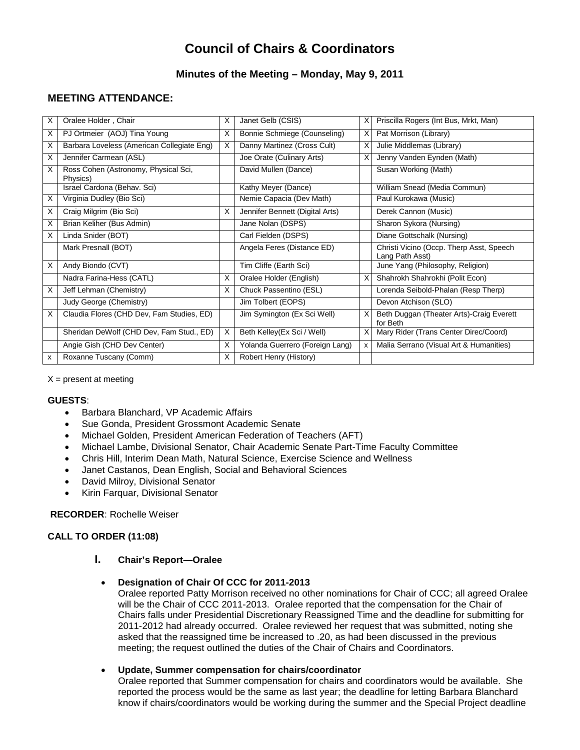# **Council of Chairs & Coordinators**

## **Minutes of the Meeting – Monday, May 9, 2011**

# **MEETING ATTENDANCE:**

| X | Oralee Holder, Chair                             | X | Janet Gelb (CSIS)               | X | Priscilla Rogers (Int Bus, Mrkt, Man)                       |
|---|--------------------------------------------------|---|---------------------------------|---|-------------------------------------------------------------|
| X | PJ Ortmeier (AOJ) Tina Young                     | X | Bonnie Schmiege (Counseling)    | X | Pat Morrison (Library)                                      |
| х | Barbara Loveless (American Collegiate Eng)       | X | Danny Martinez (Cross Cult)     | X | Julie Middlemas (Library)                                   |
| X | Jennifer Carmean (ASL)                           |   | Joe Orate (Culinary Arts)       | X | Jenny Vanden Eynden (Math)                                  |
| X | Ross Cohen (Astronomy, Physical Sci,<br>Physics) |   | David Mullen (Dance)            |   | Susan Working (Math)                                        |
|   | Israel Cardona (Behav. Sci)                      |   | Kathy Meyer (Dance)             |   | William Snead (Media Commun)                                |
| X | Virginia Dudley (Bio Sci)                        |   | Nemie Capacia (Dev Math)        |   | Paul Kurokawa (Music)                                       |
| X | Craig Milgrim (Bio Sci)                          | X | Jennifer Bennett (Digital Arts) |   | Derek Cannon (Music)                                        |
| X | Brian Keliher (Bus Admin)                        |   | Jane Nolan (DSPS)               |   | Sharon Sykora (Nursing)                                     |
| X | Linda Snider (BOT)                               |   | Carl Fielden (DSPS)             |   | Diane Gottschalk (Nursing)                                  |
|   | Mark Presnall (BOT)                              |   | Angela Feres (Distance ED)      |   | Christi Vicino (Occp. Therp Asst, Speech<br>Lang Path Asst) |
| X | Andy Biondo (CVT)                                |   | Tim Cliffe (Earth Sci)          |   | June Yang (Philosophy, Religion)                            |
|   | Nadra Farina-Hess (CATL)                         | X | Oralee Holder (English)         | X | Shahrokh Shahrokhi (Polit Econ)                             |
| X | Jeff Lehman (Chemistry)                          | X | Chuck Passentino (ESL)          |   | Lorenda Seibold-Phalan (Resp Therp)                         |
|   | Judy George (Chemistry)                          |   | Jim Tolbert (EOPS)              |   | Devon Atchison (SLO)                                        |
| X | Claudia Flores (CHD Dev, Fam Studies, ED)        |   | Jim Symington (Ex Sci Well)     | X | Beth Duggan (Theater Arts)-Craig Everett<br>for Beth        |
|   | Sheridan DeWolf (CHD Dev, Fam Stud., ED)         | X | Beth Kelley(Ex Sci / Well)      | х | Mary Rider (Trans Center Direc/Coord)                       |
|   | Angie Gish (CHD Dev Center)                      | X | Yolanda Guerrero (Foreign Lang) | x | Malia Serrano (Visual Art & Humanities)                     |
| x | Roxanne Tuscany (Comm)                           | X | Robert Henry (History)          |   |                                                             |

 $X =$  present at meeting

## **GUESTS**:

- Barbara Blanchard, VP Academic Affairs
- Sue Gonda, President Grossmont Academic Senate
- Michael Golden, President American Federation of Teachers (AFT)
- Michael Lambe, Divisional Senator, Chair Academic Senate Part-Time Faculty Committee
- Chris Hill, Interim Dean Math, Natural Science, Exercise Science and Wellness
- Janet Castanos, Dean English, Social and Behavioral Sciences
- David Milroy, Divisional Senator
- Kirin Farquar, Divisional Senator

#### **RECORDER**: Rochelle Weiser

## **CALL TO ORDER (11:08)**

## **I. Chair's Report—Oralee**

#### • **Designation of Chair Of CCC for 2011-2013**

Oralee reported Patty Morrison received no other nominations for Chair of CCC; all agreed Oralee will be the Chair of CCC 2011-2013. Oralee reported that the compensation for the Chair of Chairs falls under Presidential Discretionary Reassigned Time and the deadline for submitting for 2011-2012 had already occurred. Oralee reviewed her request that was submitted, noting she asked that the reassigned time be increased to .20, as had been discussed in the previous meeting; the request outlined the duties of the Chair of Chairs and Coordinators.

#### • **Update, Summer compensation for chairs/coordinator**

Oralee reported that Summer compensation for chairs and coordinators would be available. She reported the process would be the same as last year; the deadline for letting Barbara Blanchard know if chairs/coordinators would be working during the summer and the Special Project deadline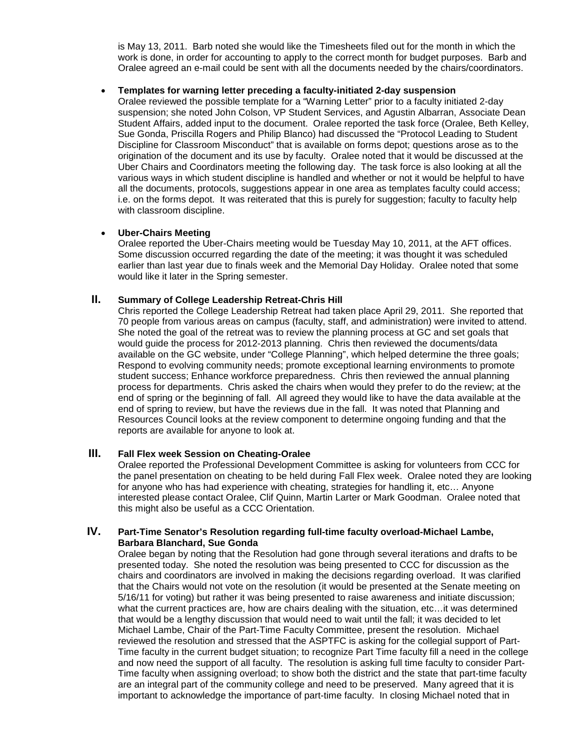is May 13, 2011. Barb noted she would like the Timesheets filed out for the month in which the work is done, in order for accounting to apply to the correct month for budget purposes. Barb and Oralee agreed an e-mail could be sent with all the documents needed by the chairs/coordinators.

#### • **Templates for warning letter preceding a faculty-initiated 2-day suspension**

Oralee reviewed the possible template for a "Warning Letter" prior to a faculty initiated 2-day suspension; she noted John Colson, VP Student Services, and Agustin Albarran, Associate Dean Student Affairs, added input to the document. Oralee reported the task force (Oralee, Beth Kelley, Sue Gonda, Priscilla Rogers and Philip Blanco) had discussed the "Protocol Leading to Student Discipline for Classroom Misconduct" that is available on forms depot; questions arose as to the origination of the document and its use by faculty. Oralee noted that it would be discussed at the Uber Chairs and Coordinators meeting the following day. The task force is also looking at all the various ways in which student discipline is handled and whether or not it would be helpful to have all the documents, protocols, suggestions appear in one area as templates faculty could access; i.e. on the forms depot. It was reiterated that this is purely for suggestion; faculty to faculty help with classroom discipline.

## • **Uber-Chairs Meeting**

Oralee reported the Uber-Chairs meeting would be Tuesday May 10, 2011, at the AFT offices. Some discussion occurred regarding the date of the meeting; it was thought it was scheduled earlier than last year due to finals week and the Memorial Day Holiday. Oralee noted that some would like it later in the Spring semester.

## **II. Summary of College Leadership Retreat-Chris Hill**

Chris reported the College Leadership Retreat had taken place April 29, 2011. She reported that 70 people from various areas on campus (faculty, staff, and administration) were invited to attend. She noted the goal of the retreat was to review the planning process at GC and set goals that would guide the process for 2012-2013 planning. Chris then reviewed the documents/data available on the GC website, under "College Planning", which helped determine the three goals; Respond to evolving community needs; promote exceptional learning environments to promote student success; Enhance workforce preparedness. Chris then reviewed the annual planning process for departments. Chris asked the chairs when would they prefer to do the review; at the end of spring or the beginning of fall. All agreed they would like to have the data available at the end of spring to review, but have the reviews due in the fall. It was noted that Planning and Resources Council looks at the review component to determine ongoing funding and that the reports are available for anyone to look at.

## **III. Fall Flex week Session on Cheating-Oralee**

Oralee reported the Professional Development Committee is asking for volunteers from CCC for the panel presentation on cheating to be held during Fall Flex week. Oralee noted they are looking for anyone who has had experience with cheating, strategies for handling it, etc… Anyone interested please contact Oralee, Clif Quinn, Martin Larter or Mark Goodman. Oralee noted that this might also be useful as a CCC Orientation.

## **IV. Part-Time Senator's Resolution regarding full-time faculty overload-Michael Lambe, Barbara Blanchard, Sue Gonda**

Oralee began by noting that the Resolution had gone through several iterations and drafts to be presented today. She noted the resolution was being presented to CCC for discussion as the chairs and coordinators are involved in making the decisions regarding overload. It was clarified that the Chairs would not vote on the resolution (it would be presented at the Senate meeting on 5/16/11 for voting) but rather it was being presented to raise awareness and initiate discussion; what the current practices are, how are chairs dealing with the situation, etc…it was determined that would be a lengthy discussion that would need to wait until the fall; it was decided to let Michael Lambe, Chair of the Part-Time Faculty Committee, present the resolution. Michael reviewed the resolution and stressed that the ASPTFC is asking for the collegial support of Part-Time faculty in the current budget situation; to recognize Part Time faculty fill a need in the college and now need the support of all faculty. The resolution is asking full time faculty to consider Part-Time faculty when assigning overload; to show both the district and the state that part-time faculty are an integral part of the community college and need to be preserved. Many agreed that it is important to acknowledge the importance of part-time faculty. In closing Michael noted that in